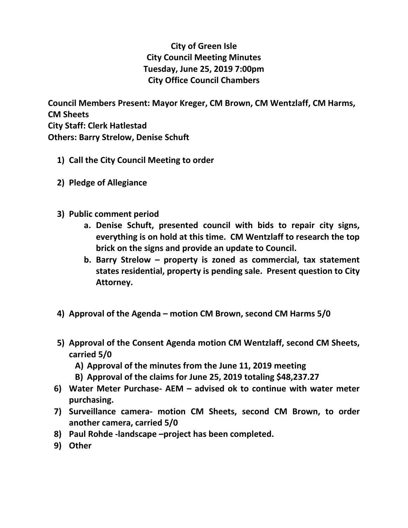## **City of Green Isle City Council Meeting Minutes Tuesday, June 25, 2019 7:00pm City Office Council Chambers**

**Council Members Present: Mayor Kreger, CM Brown, CM Wentzlaff, CM Harms, CM Sheets City Staff: Clerk Hatlestad Others: Barry Strelow, Denise Schuft**

- **1) Call the City Council Meeting to order**
- **2) Pledge of Allegiance**
- **3) Public comment period**
	- **a. Denise Schuft, presented council with bids to repair city signs, everything is on hold at this time. CM Wentzlaff to research the top brick on the signs and provide an update to Council.**
	- **b. Barry Strelow – property is zoned as commercial, tax statement states residential, property is pending sale. Present question to City Attorney.**
- **4) Approval of the Agenda – motion CM Brown, second CM Harms 5/0**
- **5) Approval of the Consent Agenda motion CM Wentzlaff, second CM Sheets, carried 5/0**
	- **A) Approval of the minutes from the June 11, 2019 meeting**
	- **B) Approval of the claims for June 25, 2019 totaling \$48,237.27**
- **6) Water Meter Purchase- AEM – advised ok to continue with water meter purchasing.**
- **7) Surveillance camera- motion CM Sheets, second CM Brown, to order another camera, carried 5/0**
- **8) Paul Rohde -landscape –project has been completed.**
- **9) Other**